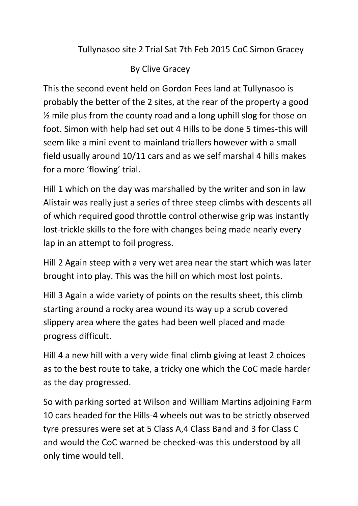## Tullynasoo site 2 Trial Sat 7th Feb 2015 CoC Simon Gracey

## By Clive Gracey

This the second event held on Gordon Fees land at Tullynasoo is probably the better of the 2 sites, at the rear of the property a good ½ mile plus from the county road and a long uphill slog for those on foot. Simon with help had set out 4 Hills to be done 5 times-this will seem like a mini event to mainland triallers however with a small field usually around 10/11 cars and as we self marshal 4 hills makes for a more 'flowing' trial.

Hill 1 which on the day was marshalled by the writer and son in law Alistair was really just a series of three steep climbs with descents all of which required good throttle control otherwise grip was instantly lost-trickle skills to the fore with changes being made nearly every lap in an attempt to foil progress.

Hill 2 Again steep with a very wet area near the start which was later brought into play. This was the hill on which most lost points.

Hill 3 Again a wide variety of points on the results sheet, this climb starting around a rocky area wound its way up a scrub covered slippery area where the gates had been well placed and made progress difficult.

Hill 4 a new hill with a very wide final climb giving at least 2 choices as to the best route to take, a tricky one which the CoC made harder as the day progressed.

So with parking sorted at Wilson and William Martins adjoining Farm 10 cars headed for the Hills-4 wheels out was to be strictly observed tyre pressures were set at 5 Class A,4 Class Band and 3 for Class C and would the CoC warned be checked-was this understood by all only time would tell.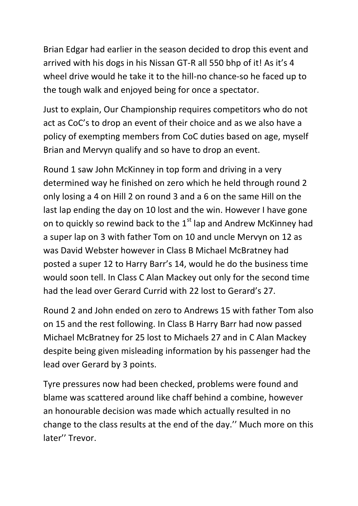Brian Edgar had earlier in the season decided to drop this event and arrived with his dogs in his Nissan GT-R all 550 bhp of it! As it's 4 wheel drive would he take it to the hill-no chance-so he faced up to the tough walk and enjoyed being for once a spectator.

Just to explain, Our Championship requires competitors who do not act as CoC's to drop an event of their choice and as we also have a policy of exempting members from CoC duties based on age, myself Brian and Mervyn qualify and so have to drop an event.

Round 1 saw John McKinney in top form and driving in a very determined way he finished on zero which he held through round 2 only losing a 4 on Hill 2 on round 3 and a 6 on the same Hill on the last lap ending the day on 10 lost and the win. However I have gone on to quickly so rewind back to the  $1<sup>st</sup>$  lap and Andrew McKinney had a super lap on 3 with father Tom on 10 and uncle Mervyn on 12 as was David Webster however in Class B Michael McBratney had posted a super 12 to Harry Barr's 14, would he do the business time would soon tell. In Class C Alan Mackey out only for the second time had the lead over Gerard Currid with 22 lost to Gerard's 27.

Round 2 and John ended on zero to Andrews 15 with father Tom also on 15 and the rest following. In Class B Harry Barr had now passed Michael McBratney for 25 lost to Michaels 27 and in C Alan Mackey despite being given misleading information by his passenger had the lead over Gerard by 3 points.

Tyre pressures now had been checked, problems were found and blame was scattered around like chaff behind a combine, however an honourable decision was made which actually resulted in no change to the class results at the end of the day.'' Much more on this later'' Trevor.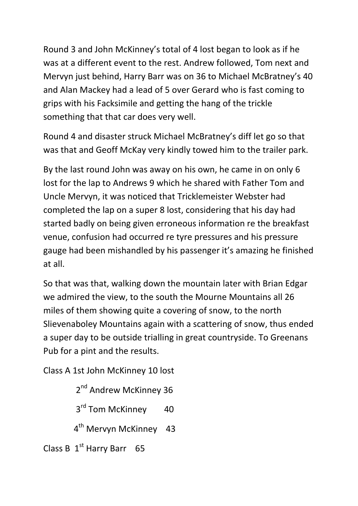Round 3 and John McKinney's total of 4 lost began to look as if he was at a different event to the rest. Andrew followed, Tom next and Mervyn just behind, Harry Barr was on 36 to Michael McBratney's 40 and Alan Mackey had a lead of 5 over Gerard who is fast coming to grips with his Facksimile and getting the hang of the trickle something that that car does very well.

Round 4 and disaster struck Michael McBratney's diff let go so that was that and Geoff McKay very kindly towed him to the trailer park.

By the last round John was away on his own, he came in on only 6 lost for the lap to Andrews 9 which he shared with Father Tom and Uncle Mervyn, it was noticed that Tricklemeister Webster had completed the lap on a super 8 lost, considering that his day had started badly on being given erroneous information re the breakfast venue, confusion had occurred re tyre pressures and his pressure gauge had been mishandled by his passenger it's amazing he finished at all.

So that was that, walking down the mountain later with Brian Edgar we admired the view, to the south the Mourne Mountains all 26 miles of them showing quite a covering of snow, to the north Slievenaboley Mountains again with a scattering of snow, thus ended a super day to be outside trialling in great countryside. To Greenans Pub for a pint and the results.

Class A 1st John McKinney 10 lost

2<sup>nd</sup> Andrew McKinney 36

3<sup>rd</sup> Tom McKinney 40

4<sup>th</sup> Mervyn McKinney 43

Class B  $1<sup>st</sup>$  Harry Barr 65